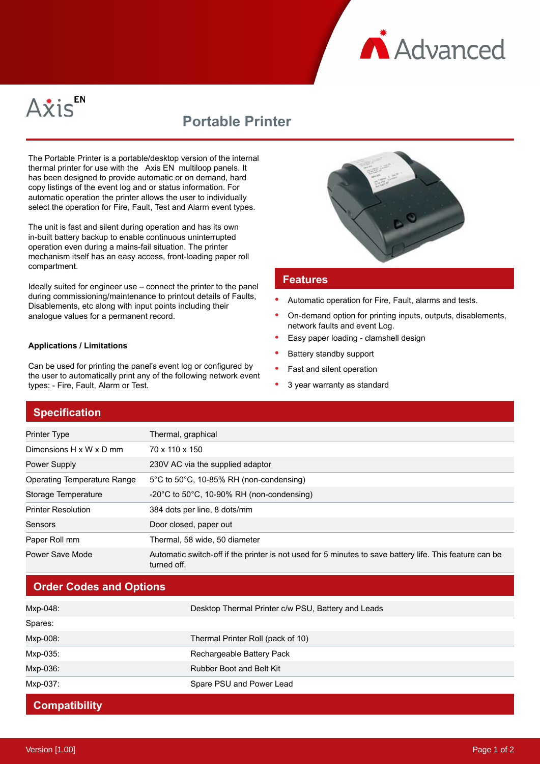



# **Portable Printer**

The Portable Printer is a portable/desktop version of the internal thermal printer for use with the Axis EN multiloop panels. It has been designed to provide automatic or on demand, hard copy listings of the event log and or status information. For automatic operation the printer allows the user to individually select the operation for Fire, Fault, Test and Alarm event types.

The unit is fast and silent during operation and has its own in-built battery backup to enable continuous uninterrupted operation even during a mains-fail situation. The printer mechanism itself has an easy access, front-loading paper roll compartment.

Ideally suited for engineer use – connect the printer to the panel during commissioning/maintenance to printout details of Faults, Disablements, etc along with input points including their analogue values for a permanent record.

#### **Applications / Limitations**

Can be used for printing the panel's event log or configured by the user to automatically print any of the following network event types: - Fire, Fault, Alarm or Test.



#### **Features**

- Automatic operation for Fire, Fault, alarms and tests.
- On-demand option for printing inputs, outputs, disablements, network faults and event Log.
- Easy paper loading clamshell design
- Battery standby support
- Fast and silent operation
- 3 year warranty as standard

#### **Specification**

| Printer Type                       | Thermal, graphical                                                                                                     |
|------------------------------------|------------------------------------------------------------------------------------------------------------------------|
| Dimensions H x W x D mm            | 70 x 110 x 150                                                                                                         |
| <b>Power Supply</b>                | 230V AC via the supplied adaptor                                                                                       |
| <b>Operating Temperature Range</b> | $5^{\circ}$ C to $50^{\circ}$ C, 10-85% RH (non-condensing)                                                            |
| Storage Temperature                | $-20^{\circ}$ C to 50 $^{\circ}$ C, 10-90% RH (non-condensing)                                                         |
| <b>Printer Resolution</b>          | 384 dots per line, 8 dots/mm                                                                                           |
| Sensors                            | Door closed, paper out                                                                                                 |
| Paper Roll mm                      | Thermal, 58 wide, 50 diameter                                                                                          |
| Power Save Mode                    | Automatic switch-off if the printer is not used for 5 minutes to save battery life. This feature can be<br>turned off. |

## **Order Codes and Options**

| Mxp-048: | Desktop Thermal Printer c/w PSU, Battery and Leads |
|----------|----------------------------------------------------|
| Spares:  |                                                    |
| Mxp-008: | Thermal Printer Roll (pack of 10)                  |
| Mxp-035: | Rechargeable Battery Pack                          |
| Mxp-036: | <b>Rubber Boot and Belt Kit</b>                    |
| Mxp-037: | Spare PSU and Power Lead                           |

### **Compatibility**